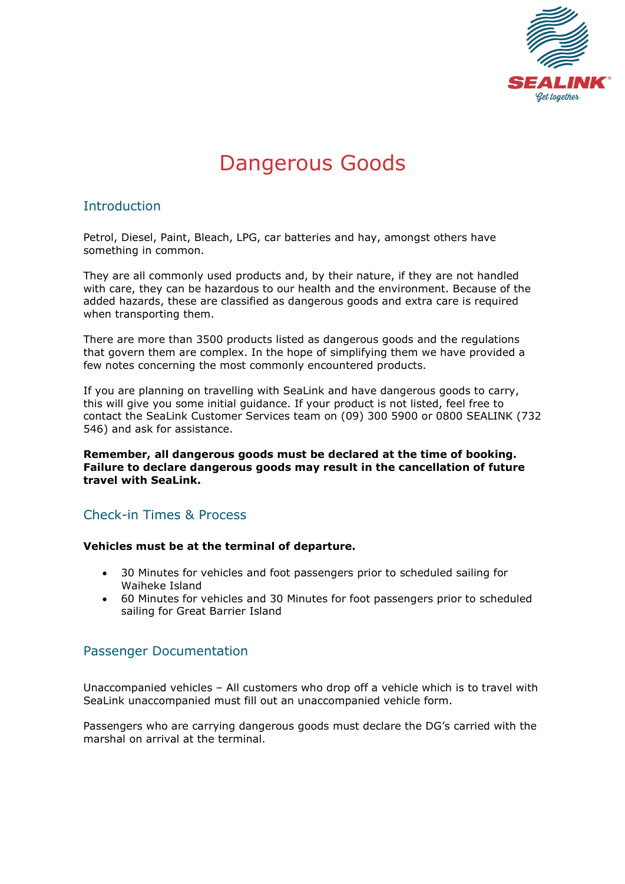

# Dangerous Goods

# Introduction

Petrol, Diesel, Paint, Bleach, LPG, car batteries and hay, amongst others have something in common.

They are all commonly used products and, by their nature, if they are not handled with care, they can be hazardous to our health and the environment. Because of the added hazards, these are classified as dangerous goods and extra care is required when transporting them.

There are more than 3500 products listed as dangerous goods and the regulations that govern them are complex. In the hope of simplifying them we have provided a few notes concerning the most commonly encountered products.

If you are planning on travelling with SeaLink and have dangerous goods to carry, this will give you some initial guidance. If your product is not listed, feel free to contact the SeaLink Customer Services team on (09) 300 5900 or 0800 SEALINK (732 546) and ask for assistance.

**Remember, all dangerous goods must be declared at the time of booking. Failure to declare dangerous goods may result in the cancellation of future travel with SeaLink.**

# Check-in Times & Process

### **Vehicles must be at the terminal of departure.**

- 30 Minutes for vehicles and foot passengers prior to scheduled sailing for Waiheke Island
- 60 Minutes for vehicles and 30 Minutes for foot passengers prior to scheduled sailing for Great Barrier Island

# Passenger Documentation

Unaccompanied vehicles – All customers who drop off a vehicle which is to travel with SeaLink unaccompanied must fill out an unaccompanied vehicle form.

Passengers who are carrying dangerous goods must declare the DG's carried with the marshal on arrival at the terminal.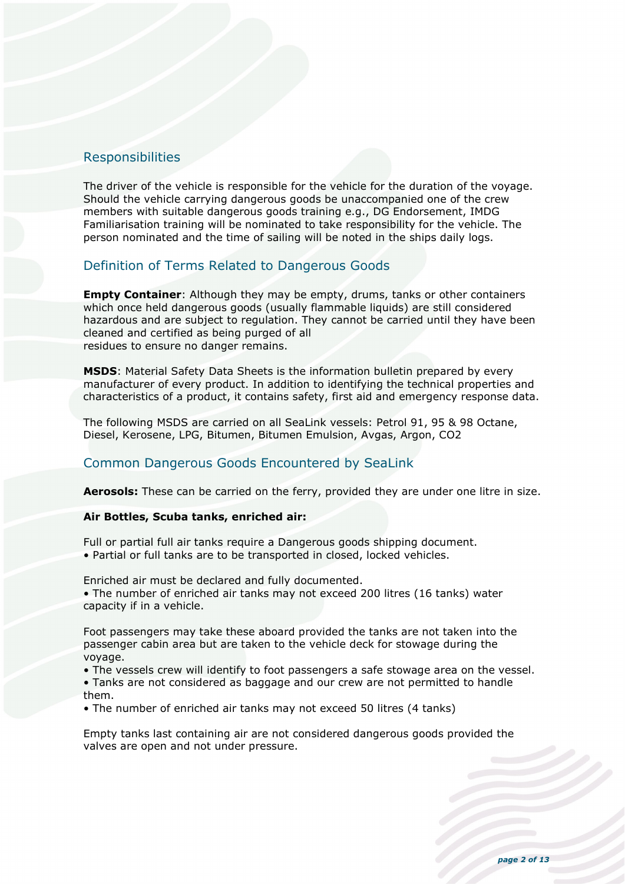# Responsibilities

The driver of the vehicle is responsible for the vehicle for the duration of the voyage. Should the vehicle carrying dangerous goods be unaccompanied one of the crew members with suitable dangerous goods training e.g., DG Endorsement, IMDG Familiarisation training will be nominated to take responsibility for the vehicle. The person nominated and the time of sailing will be noted in the ships daily logs.

# Definition of Terms Related to Dangerous Goods

**Empty Container:** Although they may be empty, drums, tanks or other containers which once held dangerous goods (usually flammable liquids) are still considered hazardous and are subject to regulation. They cannot be carried until they have been cleaned and certified as being purged of all residues to ensure no danger remains.

**MSDS**: Material Safety Data Sheets is the information bulletin prepared by every manufacturer of every product. In addition to identifying the technical properties and characteristics of a product, it contains safety, first aid and emergency response data.

The following MSDS are carried on all SeaLink vessels: Petrol 91, 95 & 98 Octane, Diesel, Kerosene, LPG, Bitumen, Bitumen Emulsion, Avgas, Argon, CO2

# Common Dangerous Goods Encountered by SeaLink

**Aerosols:** These can be carried on the ferry, provided they are under one litre in size.

### **Air Bottles, Scuba tanks, enriched air:**

Full or partial full air tanks require a Dangerous goods shipping document. • Partial or full tanks are to be transported in closed, locked vehicles.

Enriched air must be declared and fully documented.

• The number of enriched air tanks may not exceed 200 litres (16 tanks) water capacity if in a vehicle.

Foot passengers may take these aboard provided the tanks are not taken into the passenger cabin area but are taken to the vehicle deck for stowage during the voyage.

• The vessels crew will identify to foot passengers a safe stowage area on the vessel.

• Tanks are not considered as baggage and our crew are not permitted to handle them.

• The number of enriched air tanks may not exceed 50 litres (4 tanks)

Empty tanks last containing air are not considered dangerous goods provided the valves are open and not under pressure.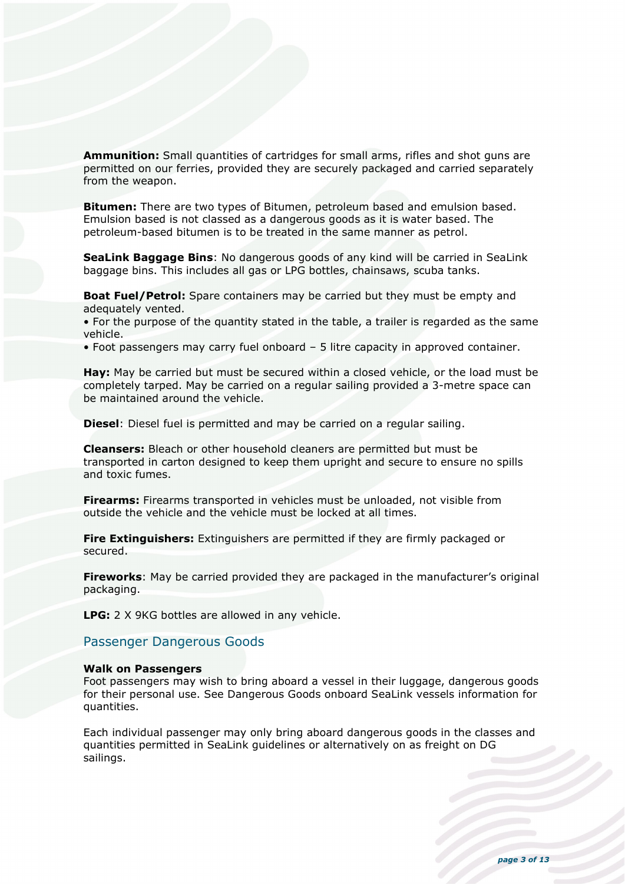**Ammunition:** Small quantities of cartridges for small arms, rifles and shot guns are permitted on our ferries, provided they are securely packaged and carried separately from the weapon.

**Bitumen:** There are two types of Bitumen, petroleum based and emulsion based. Emulsion based is not classed as a dangerous goods as it is water based. The petroleum-based bitumen is to be treated in the same manner as petrol.

**SeaLink Baggage Bins**: No dangerous goods of any kind will be carried in SeaLink baggage bins. This includes all gas or LPG bottles, chainsaws, scuba tanks.

**Boat Fuel/Petrol:** Spare containers may be carried but they must be empty and adequately vented.

• For the purpose of the quantity stated in the table, a trailer is regarded as the same vehicle.

• Foot passengers may carry fuel onboard – 5 litre capacity in approved container.

**Hay:** May be carried but must be secured within a closed vehicle, or the load must be completely tarped. May be carried on a regular sailing provided a 3-metre space can be maintained around the vehicle.

**Diesel**: Diesel fuel is permitted and may be carried on a regular sailing.

**Cleansers:** Bleach or other household cleaners are permitted but must be transported in carton designed to keep them upright and secure to ensure no spills and toxic fumes.

**Firearms:** Firearms transported in vehicles must be unloaded, not visible from outside the vehicle and the vehicle must be locked at all times.

**Fire Extinguishers:** Extinguishers are permitted if they are firmly packaged or secured.

**Fireworks**: May be carried provided they are packaged in the manufacturer's original packaging.

**LPG:** 2 X 9KG bottles are allowed in any vehicle.

### Passenger Dangerous Goods

#### **Walk on Passengers**

Foot passengers may wish to bring aboard a vessel in their luggage, dangerous goods for their personal use. See Dangerous Goods onboard SeaLink vessels information for quantities.

Each individual passenger may only bring aboard dangerous goods in the classes and quantities permitted in SeaLink guidelines or alternatively on as freight on DG sailings.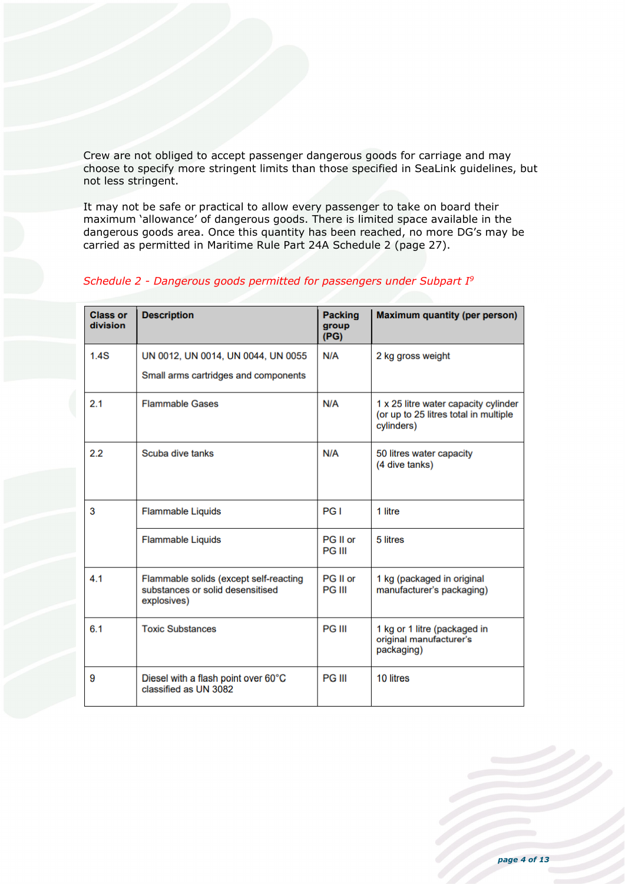Crew are not obliged to accept passenger dangerous goods for carriage and may choose to specify more stringent limits than those specified in SeaLink guidelines, but not less stringent.

It may not be safe or practical to allow every passenger to take on board their maximum 'allowance' of dangerous goods. There is limited space available in the dangerous goods area. Once this quantity has been reached, no more DG's may be carried as permitted in Maritime Rule Part 24A Schedule 2 (page 27).

| <b>Class or</b><br>division | <b>Description</b>                                                                        | <b>Packing</b><br>group<br>(PG) | <b>Maximum quantity (per person)</b>                                                        |
|-----------------------------|-------------------------------------------------------------------------------------------|---------------------------------|---------------------------------------------------------------------------------------------|
| 1.4S                        | UN 0012, UN 0014, UN 0044, UN 0055                                                        | N/A                             | 2 kg gross weight                                                                           |
|                             | Small arms cartridges and components                                                      |                                 |                                                                                             |
| 2.1                         | <b>Flammable Gases</b>                                                                    | N/A                             | 1 x 25 litre water capacity cylinder<br>(or up to 25 litres total in multiple<br>cylinders) |
| 2.2                         | Scuba dive tanks                                                                          | N/A                             | 50 litres water capacity<br>(4 dive tanks)                                                  |
| 3                           | <b>Flammable Liquids</b>                                                                  | PG I                            | 1 litre                                                                                     |
|                             | <b>Flammable Liquids</b>                                                                  | PG II or<br><b>PG III</b>       | 5 litres                                                                                    |
| 4.1                         | Flammable solids (except self-reacting<br>substances or solid desensitised<br>explosives) | PG II or<br><b>PG III</b>       | 1 kg (packaged in original<br>manufacturer's packaging)                                     |
| 6.1                         | <b>Toxic Substances</b>                                                                   | <b>PG III</b>                   | 1 kg or 1 litre (packaged in<br>original manufacturer's<br>packaging)                       |
| 9                           | Diesel with a flash point over 60°C<br>classified as UN 3082                              | <b>PG III</b>                   | 10 litres                                                                                   |

### *Schedule 2 - Dangerous goods permitted for passengers under Subpart I9*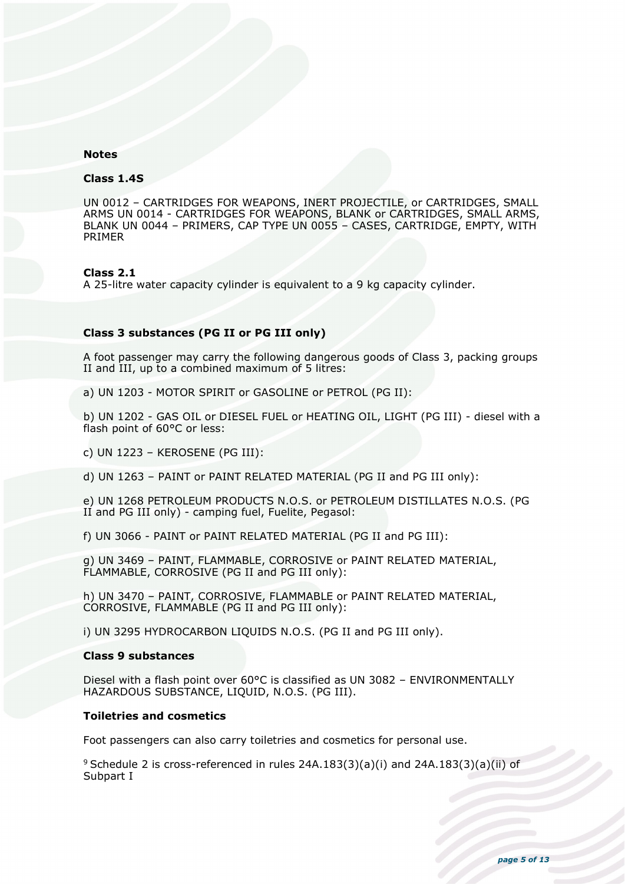### **Notes**

#### **Class 1.4S**

UN 0012 – CARTRIDGES FOR WEAPONS, INERT PROJECTILE, or CARTRIDGES, SMALL ARMS UN 0014 - CARTRIDGES FOR WEAPONS, BLANK or CARTRIDGES, SMALL ARMS, BLANK UN 0044 – PRIMERS, CAP TYPE UN 0055 – CASES, CARTRIDGE, EMPTY, WITH PRIMER

#### **Class 2.1**

A 25-litre water capacity cylinder is equivalent to a 9 kg capacity cylinder.

#### **Class 3 substances (PG II or PG III only)**

A foot passenger may carry the following dangerous goods of Class 3, packing groups II and III, up to a combined maximum of 5 litres:

a) UN 1203 - MOTOR SPIRIT or GASOLINE or PETROL (PG II):

b) UN 1202 - GAS OIL or DIESEL FUEL or HEATING OIL, LIGHT (PG III) - diesel with a flash point of 60°C or less:

c) UN 1223 – KEROSENE (PG III):

d) UN 1263 – PAINT or PAINT RELATED MATERIAL (PG II and PG III only):

e) UN 1268 PETROLEUM PRODUCTS N.O.S. or PETROLEUM DISTILLATES N.O.S. (PG II and PG III only) - camping fuel, Fuelite, Pegasol:

f) UN 3066 - PAINT or PAINT RELATED MATERIAL (PG II and PG III):

g) UN 3469 – PAINT, FLAMMABLE, CORROSIVE or PAINT RELATED MATERIAL, FLAMMABLE, CORROSIVE (PG II and PG III only):

h) UN 3470 – PAINT, CORROSIVE, FLAMMABLE or PAINT RELATED MATERIAL, CORROSIVE, FLAMMABLE (PG II and PG III only):

i) UN 3295 HYDROCARBON LIQUIDS N.O.S. (PG II and PG III only).

#### **Class 9 substances**

Diesel with a flash point over 60°C is classified as UN 3082 – ENVIRONMENTALLY HAZARDOUS SUBSTANCE, LIQUID, N.O.S. (PG III).

#### **Toiletries and cosmetics**

Foot passengers can also carry toiletries and cosmetics for personal use.

 $9$  Schedule 2 is cross-referenced in rules 24A.183(3)(a)(i) and 24A.183(3)(a)(ii) of Subpart I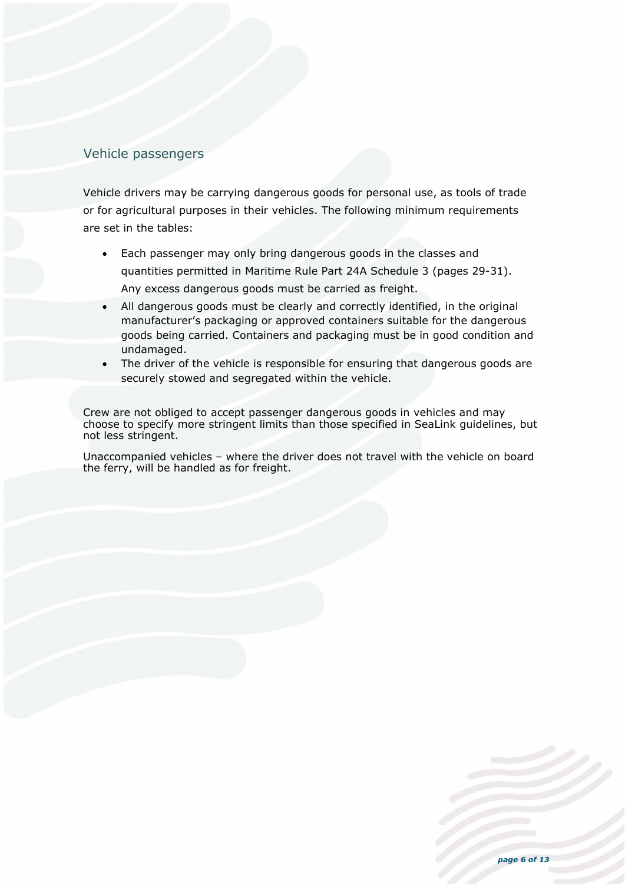# Vehicle passengers

Vehicle drivers may be carrying dangerous goods for personal use, as tools of trade or for agricultural purposes in their vehicles. The following minimum requirements are set in the tables:

- Each passenger may only bring dangerous goods in the classes and quantities permitted in Maritime Rule Part 24A Schedule 3 (pages 29-31). Any excess dangerous goods must be carried as freight.
- All dangerous goods must be clearly and correctly identified, in the original manufacturer's packaging or approved containers suitable for the dangerous goods being carried. Containers and packaging must be in good condition and undamaged.
- The driver of the vehicle is responsible for ensuring that dangerous goods are securely stowed and segregated within the vehicle.

Crew are not obliged to accept passenger dangerous goods in vehicles and may choose to specify more stringent limits than those specified in SeaLink guidelines, but not less stringent.

Unaccompanied vehicles – where the driver does not travel with the vehicle on board the ferry, will be handled as for freight.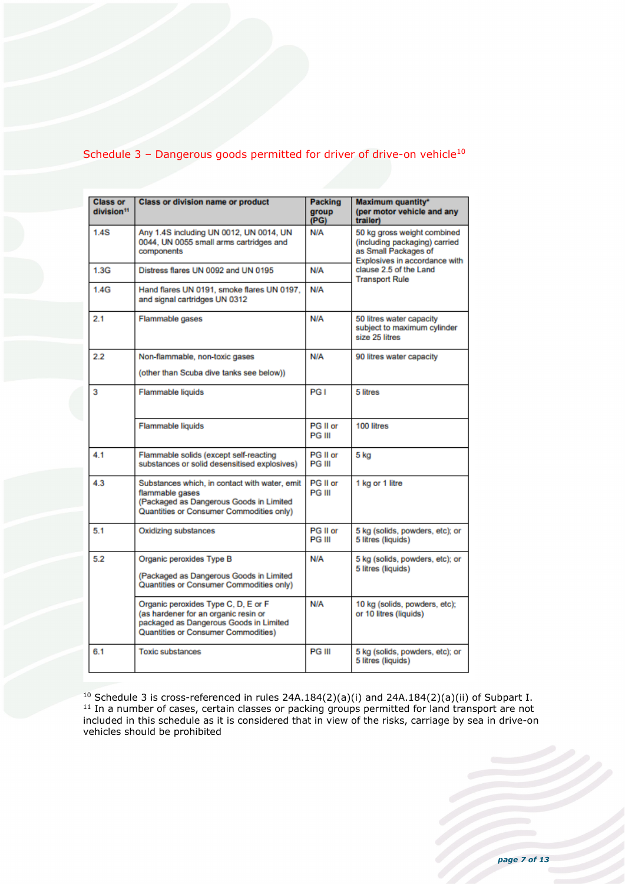# Schedule 3 - Dangerous goods permitted for driver of drive-on vehicle<sup>10</sup>

| <b>Class or</b><br>division <sup>11</sup> | <b>Class or division name or product</b>                                                                                                                     | Packing<br>group<br>(PG)  | Maximum quantity*<br>(per motor vehicle and any<br>trailer)                                                                                                              |  |
|-------------------------------------------|--------------------------------------------------------------------------------------------------------------------------------------------------------------|---------------------------|--------------------------------------------------------------------------------------------------------------------------------------------------------------------------|--|
| 1.4S                                      | Any 1.4S including UN 0012, UN 0014, UN<br>0044, UN 0055 small arms cartridges and<br>components                                                             | N/A                       | 50 kg gross weight combined<br>(including packaging) carried<br>as Small Packages of<br>Explosives in accordance with<br>clause 2.5 of the Land<br><b>Transport Rule</b> |  |
| 1.3G                                      | Distress flares UN 0092 and UN 0195                                                                                                                          | N/A                       |                                                                                                                                                                          |  |
| 1.4G                                      | Hand flares UN 0191, smoke flares UN 0197.<br>and signal cartridges UN 0312                                                                                  | N/A                       |                                                                                                                                                                          |  |
| 2.1                                       | Flammable gases                                                                                                                                              | N/A                       | 50 litres water capacity<br>subject to maximum cylinder<br>size 25 litres                                                                                                |  |
| 2.2                                       | Non-flammable, non-toxic gases<br>(other than Scuba dive tanks see below))                                                                                   | N/A                       | 90 litres water capacity                                                                                                                                                 |  |
| 3                                         | Flammable liquids                                                                                                                                            | PG I                      | 5 litres                                                                                                                                                                 |  |
|                                           | Flammable liquids                                                                                                                                            | PG II or<br><b>PG III</b> | 100 litres                                                                                                                                                               |  |
| 4.1                                       | Flammable solids (except self-reacting<br>substances or solid desensitised explosives)                                                                       | PG II or<br><b>PG III</b> | 5 kg                                                                                                                                                                     |  |
| 4.3                                       | Substances which, in contact with water, emit<br>flammable gases<br>(Packaged as Dangerous Goods in Limited<br>Quantities or Consumer Commodities only)      | PG II or<br><b>PG III</b> | 1 kg or 1 litre                                                                                                                                                          |  |
| 5.1                                       | Oxidizing substances                                                                                                                                         | PG II or<br><b>PG III</b> | 5 kg (solids, powders, etc); or<br>5 litres (liquids)                                                                                                                    |  |
| 5.2                                       | Organic peroxides Type B<br>(Packaged as Dangerous Goods in Limited<br>Quantities or Consumer Commodities only)                                              | N/A                       | 5 kg (solids, powders, etc); or<br>5 litres (liquids)                                                                                                                    |  |
|                                           | Organic peroxides Type C, D, E or F<br>(as hardener for an organic resin or<br>packaged as Dangerous Goods in Limited<br>Quantities or Consumer Commodities) | N/A                       | 10 kg (solids, powders, etc);<br>or 10 litres (liquids)                                                                                                                  |  |
| 6.1                                       | <b>Toxic substances</b>                                                                                                                                      | <b>PG III</b>             | 5 kg (solids, powders, etc); or<br>5 litres (liquids)                                                                                                                    |  |

<sup>10</sup> Schedule 3 is cross-referenced in rules 24A.184(2)(a)(i) and 24A.184(2)(a)(ii) of Subpart I.<br><sup>11</sup> In a number of cases, certain classes or packing groups permitted for land transport are not included in this schedule as it is considered that in view of the risks, carriage by sea in drive-on vehicles should be prohibited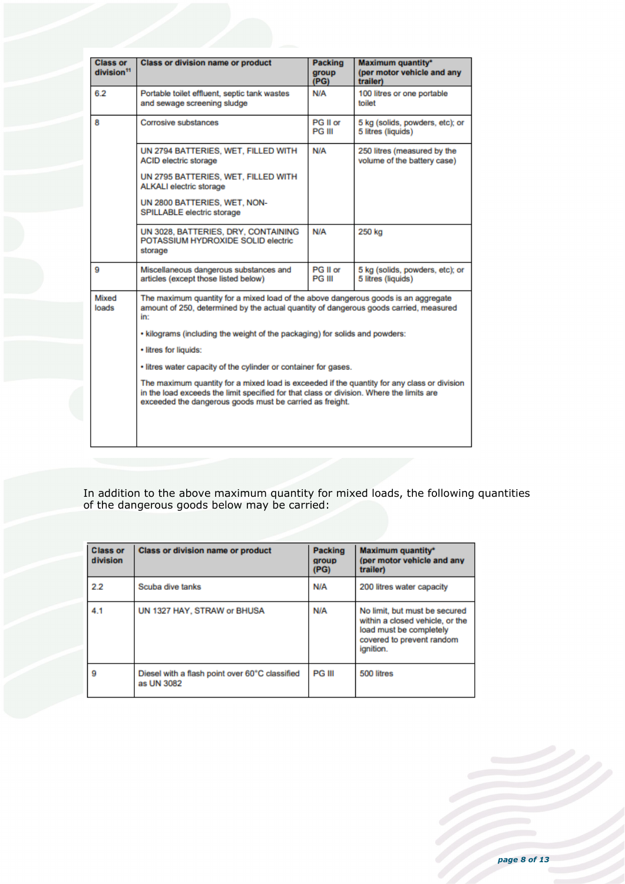| <b>Class or</b><br>division <sup>11</sup> | <b>Class or division name or product</b>                                                                                                                                                                                                                                                                                                                                                                                                                                                                                                                                                                             | <b>Packing</b><br>group<br>(PG) | <b>Maximum quantity*</b><br>(per motor vehicle and any<br>trailer) |
|-------------------------------------------|----------------------------------------------------------------------------------------------------------------------------------------------------------------------------------------------------------------------------------------------------------------------------------------------------------------------------------------------------------------------------------------------------------------------------------------------------------------------------------------------------------------------------------------------------------------------------------------------------------------------|---------------------------------|--------------------------------------------------------------------|
| 6.2                                       | Portable toilet effluent, septic tank wastes<br>and sewage screening sludge                                                                                                                                                                                                                                                                                                                                                                                                                                                                                                                                          | N/A                             | 100 litres or one portable<br>toilet                               |
| 8                                         | Corrosive substances                                                                                                                                                                                                                                                                                                                                                                                                                                                                                                                                                                                                 |                                 | 5 kg (solids, powders, etc); or<br>5 litres (liquids)              |
|                                           | UN 2794 BATTERIES, WET, FILLED WITH<br><b>ACID electric storage</b><br>UN 2795 BATTERIES, WET, FILLED WITH<br><b>ALKALI</b> electric storage<br>UN 2800 BATTERIES, WET, NON-<br>SPILLABLE electric storage                                                                                                                                                                                                                                                                                                                                                                                                           | N/A                             | 250 litres (measured by the<br>volume of the battery case)         |
|                                           | UN 3028, BATTERIES, DRY, CONTAINING<br>POTASSIUM HYDROXIDE SOLID electric<br>storage                                                                                                                                                                                                                                                                                                                                                                                                                                                                                                                                 | N/A                             | 250 kg                                                             |
| а                                         | Miscellaneous dangerous substances and<br>articles (except those listed below)                                                                                                                                                                                                                                                                                                                                                                                                                                                                                                                                       | PG II or<br><b>PG III</b>       | 5 kg (solids, powders, etc); or<br>5 litres (liquids)              |
| Mixed<br>loads                            | The maximum quantity for a mixed load of the above dangerous goods is an aggregate<br>amount of 250, determined by the actual quantity of dangerous goods carried, measured<br>in:<br>• kilograms (including the weight of the packaging) for solids and powders:<br>· litres for liquids:<br>. litres water capacity of the cylinder or container for gases.<br>The maximum quantity for a mixed load is exceeded if the quantity for any class or division<br>in the load exceeds the limit specified for that class or division. Where the limits are<br>exceeded the dangerous goods must be carried as freight. |                                 |                                                                    |

In addition to the above maximum quantity for mixed loads, the following quantities of the dangerous goods below may be carried:

| <b>Class or</b><br>division | <b>Class or division name or product</b>                     | Packing<br>group<br>(PG) | <b>Maximum quantity*</b><br>(per motor vehicle and any<br>trailer)                                                                    |
|-----------------------------|--------------------------------------------------------------|--------------------------|---------------------------------------------------------------------------------------------------------------------------------------|
| 2.2                         | Scuba dive tanks                                             | N/A                      | 200 litres water capacity                                                                                                             |
| 4.1                         | UN 1327 HAY, STRAW or BHUSA                                  | N/A                      | No limit, but must be secured<br>within a closed vehicle, or the<br>load must be completely<br>covered to prevent random<br>ignition. |
| g                           | Diesel with a flash point over 60°C classified<br>as UN 3082 | <b>PG III</b>            | 500 litres                                                                                                                            |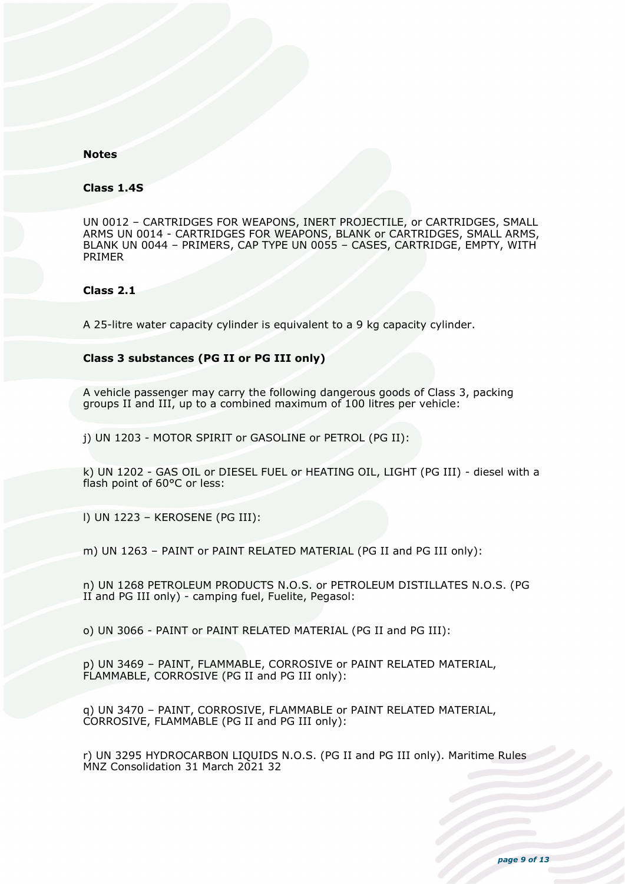### **Notes**

#### **Class 1.4S**

UN 0012 – CARTRIDGES FOR WEAPONS, INERT PROJECTILE, or CARTRIDGES, SMALL ARMS UN 0014 - CARTRIDGES FOR WEAPONS, BLANK or CARTRIDGES, SMALL ARMS, BLANK UN 0044 – PRIMERS, CAP TYPE UN 0055 – CASES, CARTRIDGE, EMPTY, WITH PRIMER

#### **Class 2.1**

A 25-litre water capacity cylinder is equivalent to a 9 kg capacity cylinder.

#### **Class 3 substances (PG II or PG III only)**

A vehicle passenger may carry the following dangerous goods of Class 3, packing groups II and III, up to a combined maximum of 100 litres per vehicle:

j) UN 1203 - MOTOR SPIRIT or GASOLINE or PETROL (PG II):

k) UN 1202 - GAS OIL or DIESEL FUEL or HEATING OIL, LIGHT (PG III) - diesel with a flash point of 60°C or less:

l) UN 1223 – KEROSENE (PG III):

m) UN 1263 – PAINT or PAINT RELATED MATERIAL (PG II and PG III only):

n) UN 1268 PETROLEUM PRODUCTS N.O.S. or PETROLEUM DISTILLATES N.O.S. (PG II and PG III only) - camping fuel, Fuelite, Pegasol:

o) UN 3066 - PAINT or PAINT RELATED MATERIAL (PG II and PG III):

p) UN 3469 – PAINT, FLAMMABLE, CORROSIVE or PAINT RELATED MATERIAL, FLAMMABLE, CORROSIVE (PG II and PG III only):

q) UN 3470 – PAINT, CORROSIVE, FLAMMABLE or PAINT RELATED MATERIAL, CORROSIVE, FLAMMABLE (PG II and PG III only):

r) UN 3295 HYDROCARBON LIQUIDS N.O.S. (PG II and PG III only). Maritime Rules MNZ Consolidation 31 March 2021 32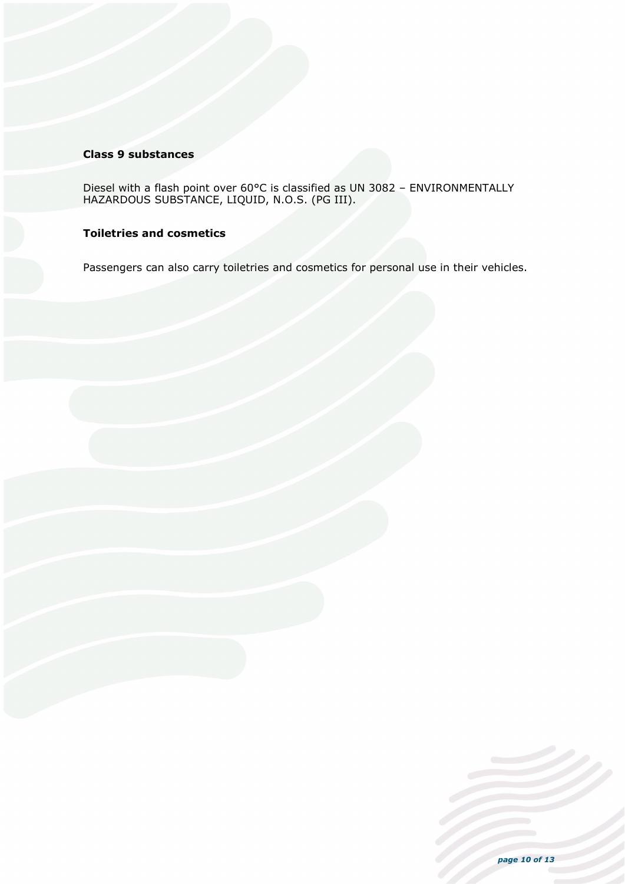### **Class 9 substances**

Diesel with a flash point over 60°C is classified as UN 3082 – ENVIRONMENTALLY HAZARDOUS SUBSTANCE, LIQUID, N.O.S. (PG III).

# **Toiletries and cosmetics**

Passengers can also carry toiletries and cosmetics for personal use in their vehicles.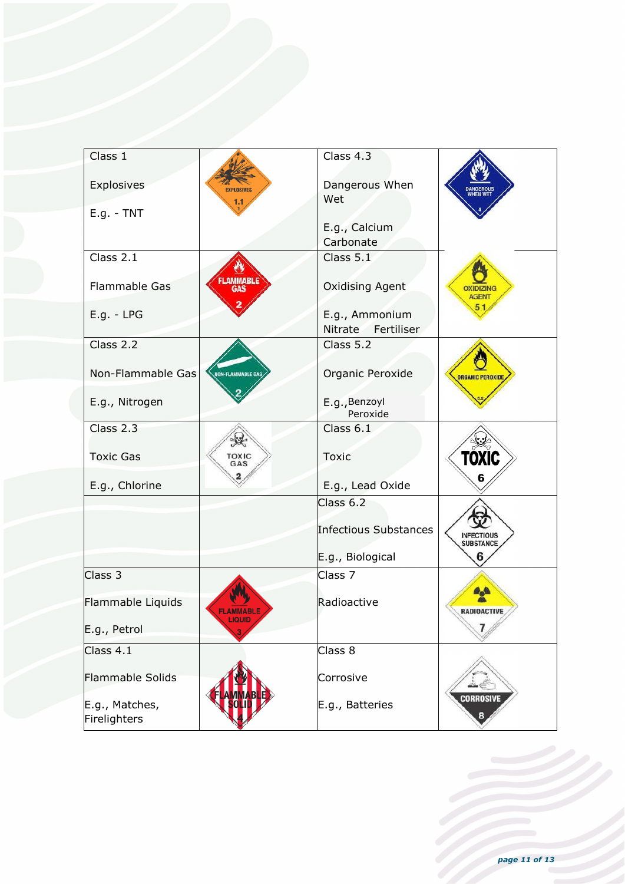| Class 1<br>Class 4.3<br>Explosives<br>Dangerous When<br><b>EXPLOSIVES</b><br>Wet<br>1.1<br>$E.g. - TNT$<br>E.g., Calcium<br>Carbonate<br>Class 2.1<br>Class 5.1 |  |
|-----------------------------------------------------------------------------------------------------------------------------------------------------------------|--|
|                                                                                                                                                                 |  |
|                                                                                                                                                                 |  |
|                                                                                                                                                                 |  |
|                                                                                                                                                                 |  |
|                                                                                                                                                                 |  |
|                                                                                                                                                                 |  |
| <b>FLAMMABLE</b><br>Flammable Gas<br><b>Oxidising Agent</b><br><b>OXIDIZING</b><br><b>AGENT</b>                                                                 |  |
| $E.g. - LPG$<br>E.g., Ammonium                                                                                                                                  |  |
| Nitrate Fertiliser                                                                                                                                              |  |
| Class $2.2$<br>Class 5.2                                                                                                                                        |  |
| Non-Flammable Gas<br>Organic Peroxide<br><b>NON-FLAMMABLE GAS</b><br><b>ORGANIC PEROXIDE</b>                                                                    |  |
|                                                                                                                                                                 |  |
| E.g., Nitrogen<br>E.g., Benzoyl                                                                                                                                 |  |
| Peroxide                                                                                                                                                        |  |
| Class 2.3<br>Class $6.1$<br>灶                                                                                                                                   |  |
| TOXIC<br><b>Toxic Gas</b><br>TOXIC<br>Toxic<br>GAS                                                                                                              |  |
| 6<br>E.g., Chlorine<br>E.g., Lead Oxide                                                                                                                         |  |
| Class 6.2                                                                                                                                                       |  |
|                                                                                                                                                                 |  |
| Infectious Substances<br><b>INFECTIOUS</b><br>SUBSTANCE                                                                                                         |  |
| E.g., Biological<br>6                                                                                                                                           |  |
| Class 3<br>Class 7                                                                                                                                              |  |
| Flammable Liquids<br>Radioactive                                                                                                                                |  |
| <b>FLAMMABLE</b><br><b>RADIOACTIVE</b><br><b>LIQUID</b>                                                                                                         |  |
| E.g., Petrol                                                                                                                                                    |  |
| Class 4.1<br>Class 8                                                                                                                                            |  |
|                                                                                                                                                                 |  |
| Flammable Solids<br>Corrosive                                                                                                                                   |  |
| <b>CORROSIVE</b><br>E.g., Matches,<br>E.g., Batteries                                                                                                           |  |
| 8<br>Firelighters                                                                                                                                               |  |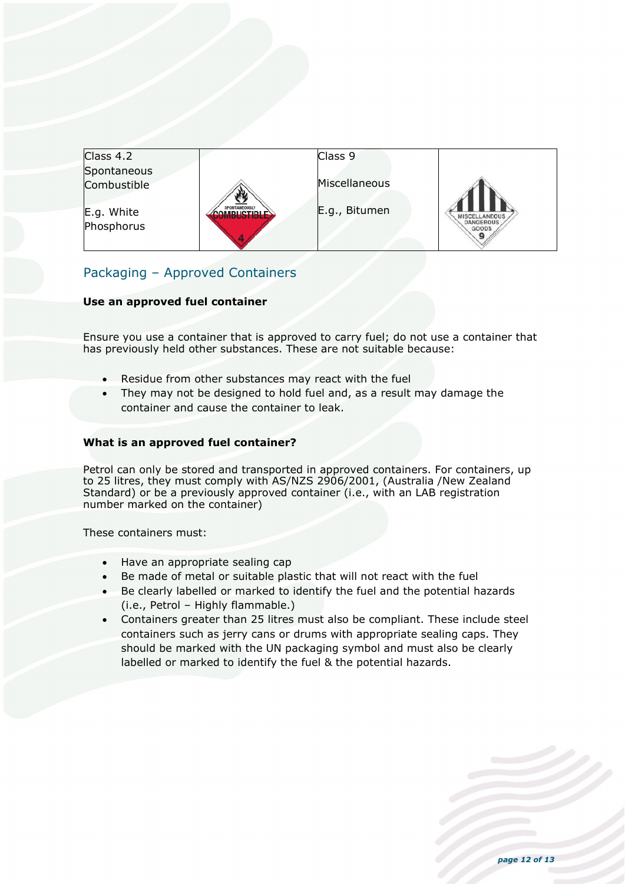| Class 4.2   |                            | Class 9       |                           |
|-------------|----------------------------|---------------|---------------------------|
| Spontaneous |                            |               |                           |
| Combustible |                            | Miscellaneous |                           |
|             |                            |               |                           |
| E.g. White  | SPONTANEOUSLY<br>DHATIDI E | E.g., Bitumen | <b>MISCELLANEOUS</b>      |
| Phosphorus  |                            |               | <b>DANGEROUS</b><br>GOODS |
|             |                            |               |                           |

# Packaging – Approved Containers

### **Use an approved fuel container**

Ensure you use a container that is approved to carry fuel; do not use a container that has previously held other substances. These are not suitable because:

- Residue from other substances may react with the fuel
- They may not be designed to hold fuel and, as a result may damage the container and cause the container to leak.

### **What is an approved fuel container?**

Petrol can only be stored and transported in approved containers. For containers, up to 25 litres, they must comply with AS/NZS 2906/2001, (Australia /New Zealand Standard) or be a previously approved container (i.e., with an LAB registration number marked on the container)

These containers must:

- Have an appropriate sealing cap
- Be made of metal or suitable plastic that will not react with the fuel
- Be clearly labelled or marked to identify the fuel and the potential hazards (i.e., Petrol – Highly flammable.)
- Containers greater than 25 litres must also be compliant. These include steel containers such as jerry cans or drums with appropriate sealing caps. They should be marked with the UN packaging symbol and must also be clearly labelled or marked to identify the fuel & the potential hazards.